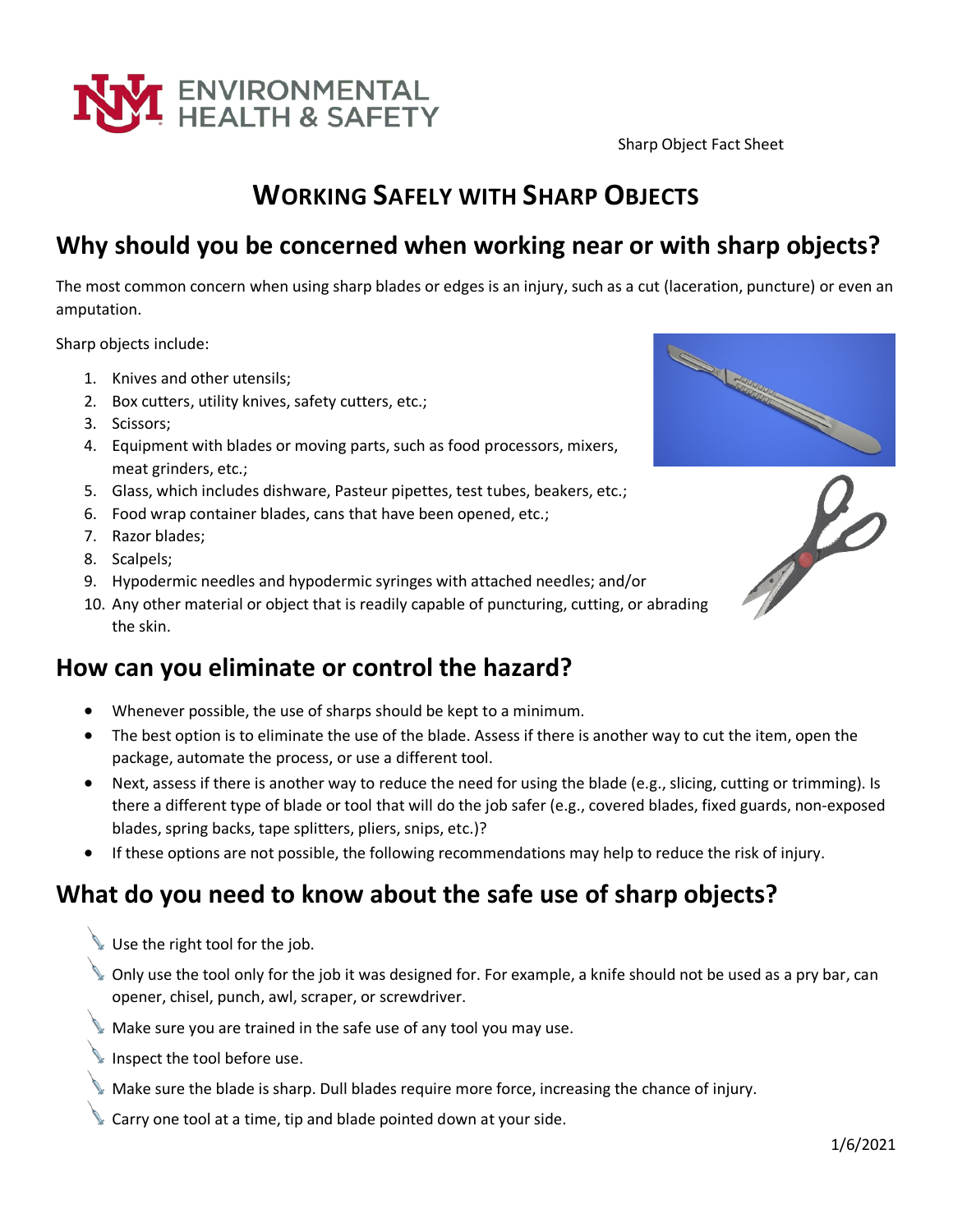

# **WORKING SAFELY WITH SHARP OBJECTS**

## **Why should you be concerned when working near or with sharp objects?**

The most common concern when using sharp blades or edges is an injury, such as a cut (laceration, puncture) or even an amputation.

Sharp objects include:

- 1. Knives and other utensils;
- 2. Box cutters, utility knives, safety cutters, etc.;
- 3. Scissors;
- 4. Equipment with blades or moving parts, such as food processors, mixers, meat grinders, etc.;
- 5. Glass, which includes dishware, Pasteur pipettes, test tubes, beakers, etc.;
- 6. Food wrap container blades, cans that have been opened, etc.;
- 7. Razor blades;
- 8. Scalpels;
- 9. Hypodermic needles and hypodermic syringes with attached needles; and/or
- 10. Any other material or object that is readily capable of puncturing, cutting, or abrading the skin.

### **How can you eliminate or control the hazard?**

- Whenever possible, the use of sharps should be kept to a minimum.
- The best option is to eliminate the use of the blade. Assess if there is another way to cut the item, open the package, automate the process, or use a different tool.
- Next, assess if there is another way to reduce the need for using the blade (e.g., slicing, cutting or trimming). Is there a different type of blade or tool that will do the job safer (e.g., covered blades, fixed guards, non-exposed blades, spring backs, tape splitters, pliers, snips, etc.)?
- If these options are not possible, the following recommendations may help to reduce the risk of injury.

## **What do you need to know about the safe use of sharp objects?**

- Use the right tool for the job.
- Only use the tool only for the job it was designed for. For example, a knife should not be used as a pry bar, can opener, chisel, punch, awl, scraper, or screwdriver.
- Make sure you are trained in the safe use of any tool you may use.
- Inspect the tool before use.
- Make sure the blade is sharp. Dull blades require more force, increasing the chance of injury.
- Carry one tool at a time, tip and blade pointed down at your side.



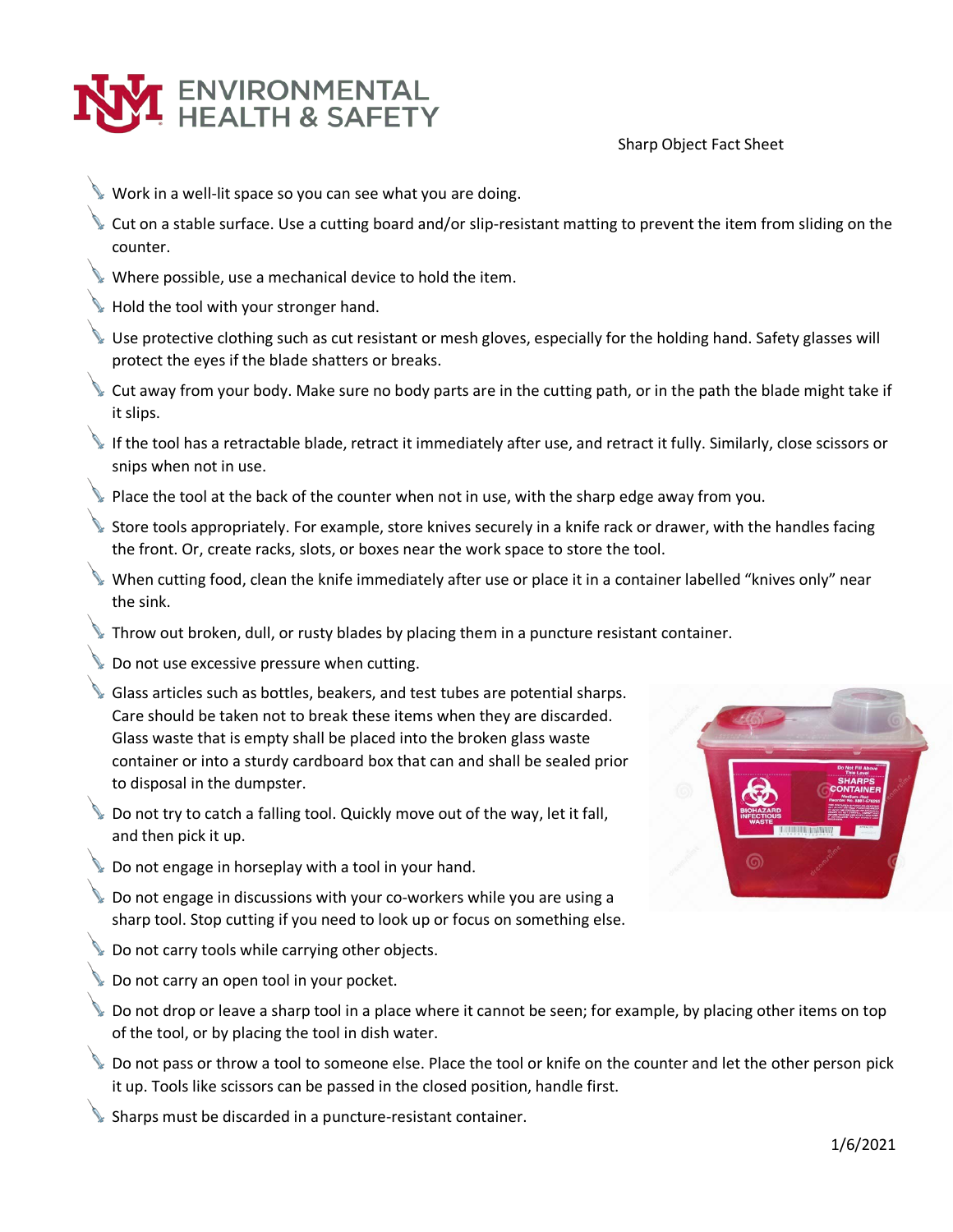

- Work in a well-lit space so you can see what you are doing.
- Cut on a stable surface. Use a cutting board and/or slip-resistant matting to prevent the item from sliding on the counter.
- Where possible, use a mechanical device to hold the item.
- Hold the tool with your stronger hand.
- Use protective clothing such as cut resistant or mesh gloves, especially for the holding hand. Safety glasses will protect the eyes if the blade shatters or breaks.
- Cut away from your body. Make sure no body parts are in the cutting path, or in the path the blade might take if it slips.
- $\blacktriangleright$  If the tool has a retractable blade, retract it immediately after use, and retract it fully. Similarly, close scissors or snips when not in use.
- Place the tool at the back of the counter when not in use, with the sharp edge away from you.
- Store tools appropriately. For example, store knives securely in a knife rack or drawer, with the handles facing the front. Or, create racks, slots, or boxes near the work space to store the tool.
- When cutting food, clean the knife immediately after use or place it in a container labelled "knives only" near the sink.
- Throw out broken, dull, or rusty blades by placing them in a puncture resistant container.
- Do not use excessive pressure when cutting.
- Glass articles such as bottles, beakers, and test tubes are potential sharps. Care should be taken not to break these items when they are discarded. Glass waste that is empty shall be placed into the broken glass waste container or into a sturdy cardboard box that can and shall be sealed prior to disposal in the dumpster.
- Do not try to catch a falling tool. Quickly move out of the way, let it fall, and then pick it up.
- Do not engage in horseplay with a tool in your hand.
- Do not engage in discussions with your co-workers while you are using a sharp tool. Stop cutting if you need to look up or focus on something else.
- Do not carry tools while carrying other objects.
- Do not carry an open tool in your pocket.
- Do not drop or leave a sharp tool in a place where it cannot be seen; for example, by placing other items on top of the tool, or by placing the tool in dish water.
- Do not pass or throw a tool to someone else. Place the tool or knife on the counter and let the other person pick it up. Tools like scissors can be passed in the closed position, handle first.
- Sharps must be discarded in a puncture-resistant container.

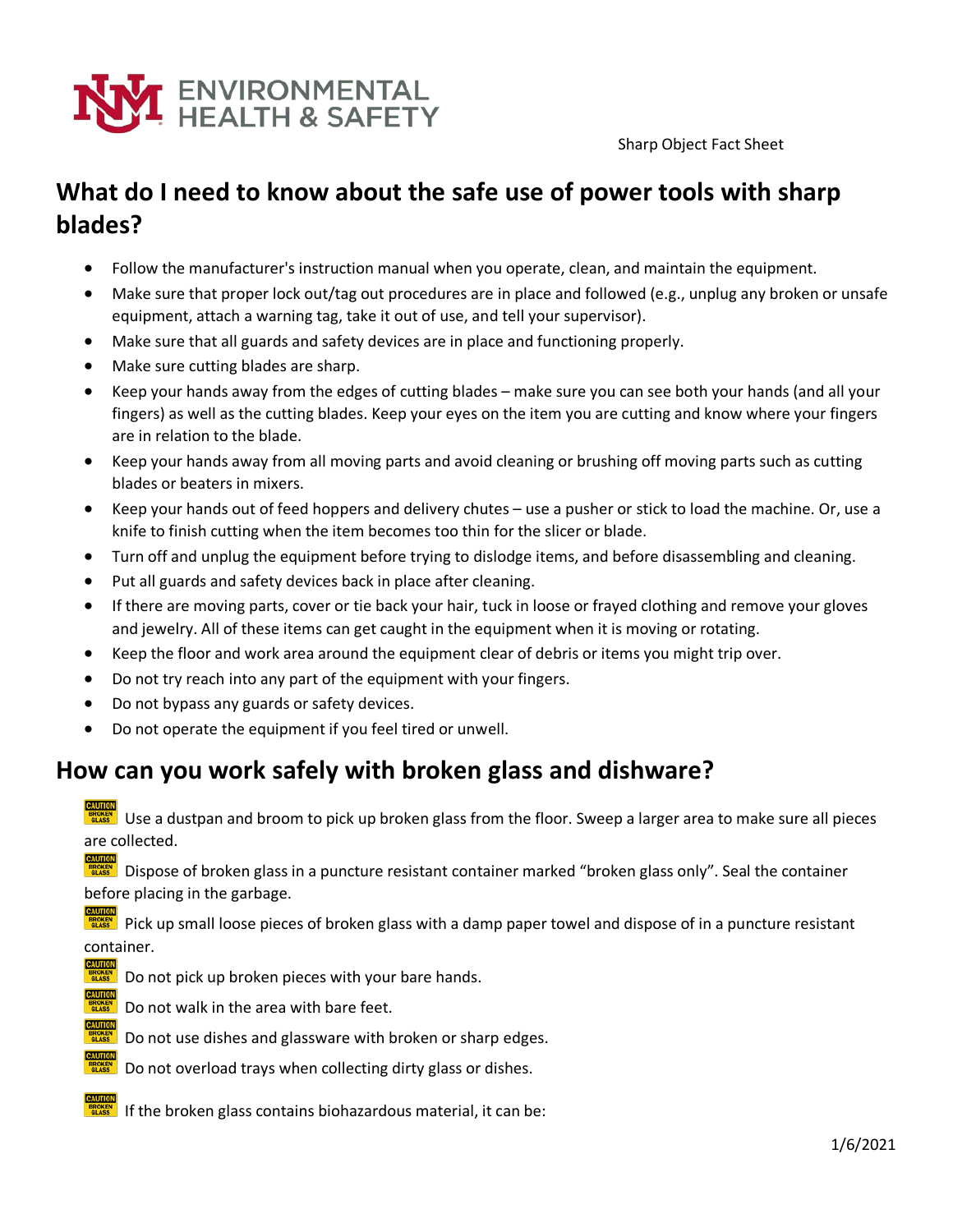

## **What do I need to know about the safe use of power tools with sharp blades?**

- Follow the manufacturer's instruction manual when you operate, clean, and maintain the equipment.
- Make sure that proper lock out/tag out procedures are in place and followed (e.g., unplug any broken or unsafe equipment, attach a warning tag, take it out of use, and tell your supervisor).
- Make sure that all guards and safety devices are in place and functioning properly.
- Make sure cutting blades are sharp.
- Keep your hands away from the edges of cutting blades make sure you can see both your hands (and all your fingers) as well as the cutting blades. Keep your eyes on the item you are cutting and know where your fingers are in relation to the blade.
- Keep your hands away from all moving parts and avoid cleaning or brushing off moving parts such as cutting blades or beaters in mixers.
- Keep your hands out of feed hoppers and delivery chutes use a pusher or stick to load the machine. Or, use a knife to finish cutting when the item becomes too thin for the slicer or blade.
- Turn off and unplug the equipment before trying to dislodge items, and before disassembling and cleaning.
- Put all guards and safety devices back in place after cleaning.
- If there are moving parts, cover or tie back your hair, tuck in loose or frayed clothing and remove your gloves and jewelry. All of these items can get caught in the equipment when it is moving or rotating.
- Keep the floor and work area around the equipment clear of debris or items you might trip over.
- Do not try reach into any part of the equipment with your fingers.
- Do not bypass any guards or safety devices.
- Do not operate the equipment if you feel tired or unwell.

## **How can you work safely with broken glass and dishware?**

Use a dustpan and broom to pick up broken glass from the floor. Sweep a larger area to make sure all pieces are collected.

Dispose of broken glass in a puncture resistant container marked "broken glass only". Seal the container before placing in the garbage.

Pick up small loose pieces of broken glass with a damp paper towel and dispose of in a puncture resistant container.

- Do not pick up broken pieces with your bare hands.
- Do not walk in the area with bare feet.
	- Do not use dishes and glassware with broken or sharp edges.
	- Do not overload trays when collecting dirty glass or dishes.
	- If the broken glass contains biohazardous material, it can be: